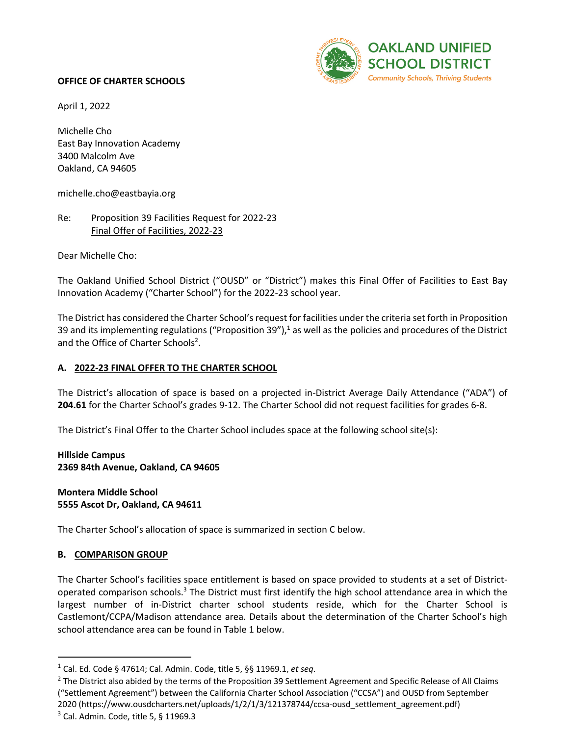

April 1, 2022

Michelle Cho East Bay Innovation Academy 3400 Malcolm Ave Oakland, CA 94605

michelle.cho@eastbayia.org

#### Re: Proposition 39 Facilities Request for 2022-23 Final Offer of Facilities, 2022-23

Dear Michelle Cho:

The Oakland Unified School District ("OUSD" or "District") makes this Final Offer of Facilities to East Bay Innovation Academy ("Charter School") for the 2022-23 school year.

The District has considered the Charter School's request for facilities under the criteria set forth in Proposition 39 and its implementing regulations ("Proposition 39"), $<sup>1</sup>$  as well as the policies and procedures of the District</sup> and the Office of Charter Schools<sup>2</sup>.

#### **A. 2022-23 FINAL OFFER TO THE CHARTER SCHOOL**

The District's allocation of space is based on a projected in-District Average Daily Attendance ("ADA") of **204.61** for the Charter School's grades 9-12. The Charter School did not request facilities for grades 6-8.

The District's Final Offer to the Charter School includes space at the following school site(s):

**Hillside Campus 2369 84th Avenue, Oakland, CA 94605**

**Montera Middle School 5555 Ascot Dr, Oakland, CA 94611**

The Charter School's allocation of space is summarized in section C below.

#### **B. COMPARISON GROUP**

The Charter School's facilities space entitlement is based on space provided to students at a set of Districtoperated comparison schools.<sup>3</sup> The District must first identify the high school attendance area in which the largest number of in-District charter school students reside, which for the Charter School is Castlemont/CCPA/Madison attendance area. Details about the determination of the Charter School's high school attendance area can be found in Table 1 below.

<sup>1</sup> Cal. Ed. Code § 47614; Cal. Admin. Code, title 5, §§ 11969.1, *et seq*.

 $<sup>2</sup>$  The District also abided by the terms of the Proposition 39 Settlement Agreement and Specific Release of All Claims</sup> ("Settlement Agreement") between the California Charter School Association ("CCSA") and OUSD from September 2020 (https://www.ousdcharters.net/uploads/1/2/1/3/121378744/ccsa-ousd\_settlement\_agreement.pdf)

 $3$  Cal. Admin. Code, title 5, § 11969.3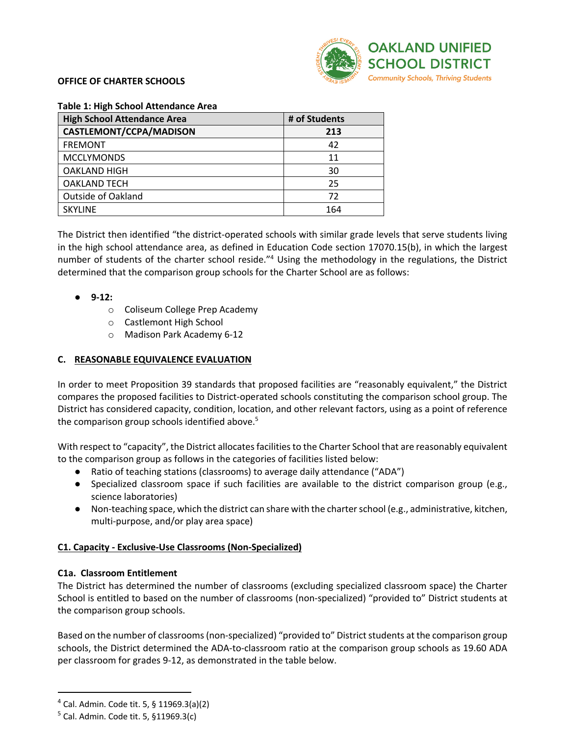

| <b>High School Attendance Area</b> | # of Students |
|------------------------------------|---------------|
| CASTLEMONT/CCPA/MADISON            | 213           |
| <b>FREMONT</b>                     | 42            |
| <b>MCCLYMONDS</b>                  | 11            |
| <b>OAKLAND HIGH</b>                | 30            |
| <b>OAKLAND TECH</b>                | 25            |
| <b>Outside of Oakland</b>          | 72            |
| <b>SKYLINE</b>                     | 164           |

**Table 1: High School Attendance Area** 

The District then identified "the district-operated schools with similar grade levels that serve students living in the high school attendance area, as defined in Education Code section 17070.15(b), in which the largest number of students of the charter school reside."4 Using the methodology in the regulations, the District determined that the comparison group schools for the Charter School are as follows:

#### ● **9-12:**

- o Coliseum College Prep Academy
- o Castlemont High School
- o Madison Park Academy 6-12

#### **C. REASONABLE EQUIVALENCE EVALUATION**

In order to meet Proposition 39 standards that proposed facilities are "reasonably equivalent," the District compares the proposed facilities to District-operated schools constituting the comparison school group. The District has considered capacity, condition, location, and other relevant factors, using as a point of reference the comparison group schools identified above.<sup>5</sup>

With respect to "capacity", the District allocates facilities to the Charter School that are reasonably equivalent to the comparison group as follows in the categories of facilities listed below:

- Ratio of teaching stations (classrooms) to average daily attendance ("ADA")
- Specialized classroom space if such facilities are available to the district comparison group (e.g., science laboratories)
- Non-teaching space, which the district can share with the charter school (e.g., administrative, kitchen, multi-purpose, and/or play area space)

#### **C1. Capacity - Exclusive-Use Classrooms (Non-Specialized)**

#### **C1a. Classroom Entitlement**

The District has determined the number of classrooms (excluding specialized classroom space) the Charter School is entitled to based on the number of classrooms (non-specialized) "provided to" District students at the comparison group schools.

Based on the number of classrooms (non-specialized) "provided to" District students at the comparison group schools, the District determined the ADA-to-classroom ratio at the comparison group schools as 19.60 ADA per classroom for grades 9-12, as demonstrated in the table below.

<sup>4</sup> Cal. Admin. Code tit. 5, § 11969.3(a)(2)

 $5$  Cal. Admin. Code tit. 5, §11969.3(c)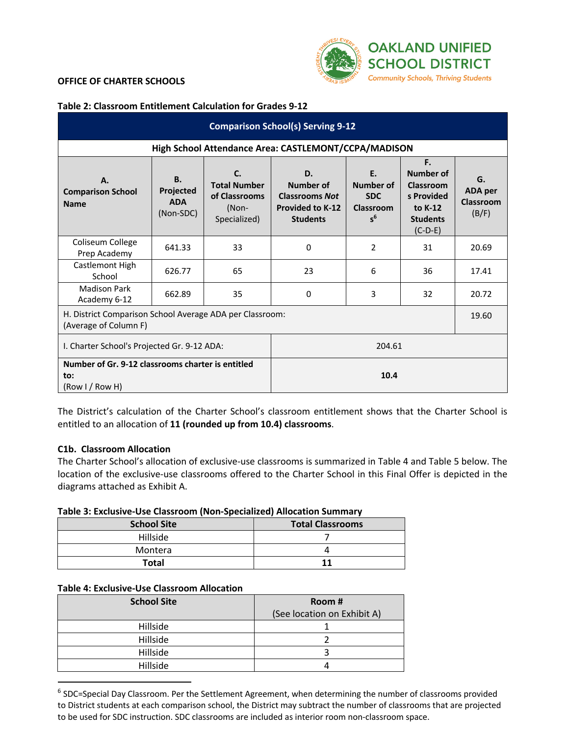

**Table 2: Classroom Entitlement Calculation for Grades 9-12**

| <b>Comparison School(s) Serving 9-12</b>                                          |                                                      |                                                                     |                                                                                        |                                                     |                                                                                              |                                            |  |  |  |  |  |
|-----------------------------------------------------------------------------------|------------------------------------------------------|---------------------------------------------------------------------|----------------------------------------------------------------------------------------|-----------------------------------------------------|----------------------------------------------------------------------------------------------|--------------------------------------------|--|--|--|--|--|
|                                                                                   | High School Attendance Area: CASTLEMONT/CCPA/MADISON |                                                                     |                                                                                        |                                                     |                                                                                              |                                            |  |  |  |  |  |
| А.<br><b>Comparison School</b><br><b>Name</b>                                     | <b>B.</b><br>Projected<br><b>ADA</b><br>(Non-SDC)    | C.<br><b>Total Number</b><br>of Classrooms<br>(Non-<br>Specialized) | D.<br>Number of<br><b>Classrooms Not</b><br><b>Provided to K-12</b><br><b>Students</b> | Ε.<br>Number of<br><b>SDC</b><br>Classroom<br>$s^6$ | F.<br><b>Number of</b><br>Classroom<br>s Provided<br>to K-12<br><b>Students</b><br>$(C-D-E)$ | G.<br>ADA per<br><b>Classroom</b><br>(B/F) |  |  |  |  |  |
| Coliseum College<br>Prep Academy                                                  | 641.33                                               | 33                                                                  | 0                                                                                      | 2                                                   | 31                                                                                           | 20.69                                      |  |  |  |  |  |
| Castlemont High<br>School                                                         | 626.77                                               | 65                                                                  | 23                                                                                     | 6                                                   | 36                                                                                           | 17.41                                      |  |  |  |  |  |
| <b>Madison Park</b><br>Academy 6-12                                               | 662.89                                               | 35                                                                  | 0                                                                                      | 3                                                   | 32                                                                                           | 20.72                                      |  |  |  |  |  |
| H. District Comparison School Average ADA per Classroom:<br>(Average of Column F) |                                                      |                                                                     |                                                                                        |                                                     |                                                                                              |                                            |  |  |  |  |  |
| I. Charter School's Projected Gr. 9-12 ADA:                                       |                                                      |                                                                     | 204.61                                                                                 |                                                     |                                                                                              |                                            |  |  |  |  |  |
| Number of Gr. 9-12 classrooms charter is entitled<br>to:<br>(Row I / Row H)       | 10.4                                                 |                                                                     |                                                                                        |                                                     |                                                                                              |                                            |  |  |  |  |  |

The District's calculation of the Charter School's classroom entitlement shows that the Charter School is entitled to an allocation of **11 (rounded up from 10.4) classrooms**.

#### **C1b. Classroom Allocation**

The Charter School's allocation of exclusive-use classrooms is summarized in Table 4 and Table 5 below. The location of the exclusive-use classrooms offered to the Charter School in this Final Offer is depicted in the diagrams attached as Exhibit A.

#### **Table 3: Exclusive-Use Classroom (Non-Specialized) Allocation Summary**

| <b>School Site</b> | <b>Total Classrooms</b> |
|--------------------|-------------------------|
| Hillside           |                         |
| Montera            |                         |
| <b>Total</b>       |                         |

#### **Table 4: Exclusive-Use Classroom Allocation**

| <b>School Site</b> | Room#                       |
|--------------------|-----------------------------|
|                    | (See location on Exhibit A) |
| Hillside           |                             |
| Hillside           |                             |
| Hillside           |                             |
| Hillside           |                             |

<sup>6</sup> SDC=Special Day Classroom. Per the Settlement Agreement, when determining the number of classrooms provided to District students at each comparison school, the District may subtract the number of classrooms that are projected to be used for SDC instruction. SDC classrooms are included as interior room non-classroom space.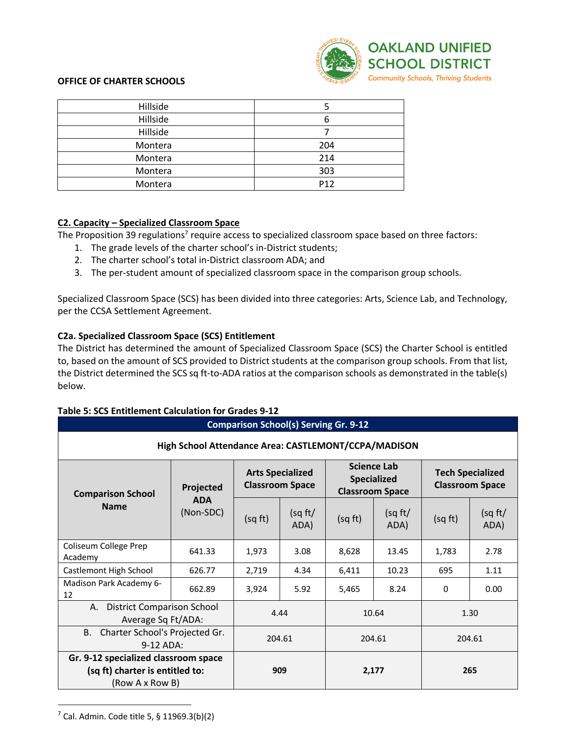

| Hillside |                 |
|----------|-----------------|
| Hillside |                 |
| Hillside |                 |
| Montera  | 204             |
| Montera  | 214             |
| Montera  | 303             |
| Montera  | P <sub>12</sub> |

#### **C2. Capacity – Specialized Classroom Space**

The Proposition 39 regulations<sup>7</sup> require access to specialized classroom space based on three factors:

- 1. The grade levels of the charter school's in-District students;
- 2. The charter school's total in-District classroom ADA; and
- 3. The per-student amount of specialized classroom space in the comparison group schools.

Specialized Classroom Space (SCS) has been divided into three categories: Arts, Science Lab, and Technology, per the CCSA Settlement Agreement.

#### **C2a. Specialized Classroom Space (SCS) Entitlement**

The District has determined the amount of Specialized Classroom Space (SCS) the Charter School is entitled to, based on the amount of SCS provided to District students at the comparison group schools. From that list, the District determined the SCS sq ft-to-ADA ratios at the comparison schools as demonstrated in the table(s) below.

| <b>Comparison School(s) Serving Gr. 9-12</b>                  |                         |                                                   |                 |         |                                                                    |                                                   |                 |  |  |  |
|---------------------------------------------------------------|-------------------------|---------------------------------------------------|-----------------|---------|--------------------------------------------------------------------|---------------------------------------------------|-----------------|--|--|--|
| High School Attendance Area: CASTLEMONT/CCPA/MADISON          |                         |                                                   |                 |         |                                                                    |                                                   |                 |  |  |  |
| <b>Comparison School</b><br><b>Name</b>                       | Projected               | <b>Arts Specialized</b><br><b>Classroom Space</b> |                 |         | <b>Science Lab</b><br><b>Specialized</b><br><b>Classroom Space</b> | <b>Tech Specialized</b><br><b>Classroom Space</b> |                 |  |  |  |
|                                                               | <b>ADA</b><br>(Non-SDC) | (sq ft)                                           | (sq ft/<br>ADA) | (sq ft) | (sq ft)<br>ADA)                                                    | (sq ft)                                           | (sq ft/<br>ADA) |  |  |  |
| Coliseum College Prep<br>Academy                              | 641.33                  | 1,973                                             | 3.08            | 8,628   | 13.45                                                              | 1,783                                             | 2.78            |  |  |  |
| Castlemont High School                                        | 626.77                  | 2,719                                             | 4.34            | 6,411   | 10.23                                                              | 695                                               | 1.11            |  |  |  |
| Madison Park Academy 6-<br>12                                 | 662.89                  | 3,924                                             | 5.92            | 5,465   | 8.24                                                               | 0                                                 | 0.00            |  |  |  |
| <b>District Comparison School</b><br>А.<br>Average Sq Ft/ADA: | 4.44                    |                                                   | 10.64           |         | 1.30                                                               |                                                   |                 |  |  |  |
| B. Charter School's Projected Gr.<br>9-12 ADA:                | 204.61                  |                                                   | 204.61          |         | 204.61                                                             |                                                   |                 |  |  |  |
| Gr. 9-12 specialized classroom space                          |                         |                                                   |                 |         |                                                                    |                                                   |                 |  |  |  |
| (sq ft) charter is entitled to:                               |                         |                                                   | 909             |         | 2,177                                                              |                                                   | 265             |  |  |  |
| (Row A x Row B)                                               |                         |                                                   |                 |         |                                                                    |                                                   |                 |  |  |  |

#### **Table 5: SCS Entitlement Calculation for Grades 9-12**

 $7$  Cal. Admin. Code title 5, § 11969.3(b)(2)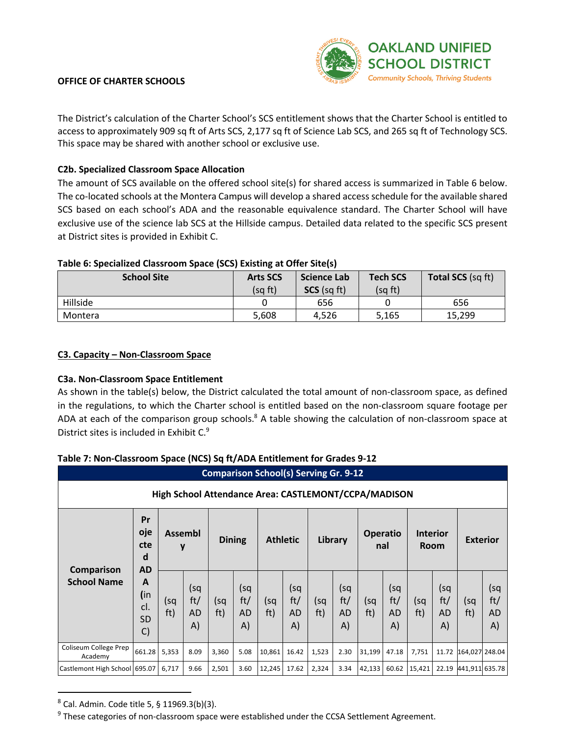

(sq ft/ AD A)

#### **OFFICE OF CHARTER SCHOOLS**

The District's calculation of the Charter School's SCS entitlement shows that the Charter School is entitled to access to approximately 909 sq ft of Arts SCS, 2,177 sq ft of Science Lab SCS, and 265 sq ft of Technology SCS. This space may be shared with another school or exclusive use.

#### **C2b. Specialized Classroom Space Allocation**

The amount of SCS available on the offered school site(s) for shared access is summarized in Table 6 below. The co-located schools at the Montera Campus will develop a shared access schedule for the available shared SCS based on each school's ADA and the reasonable equivalence standard. The Charter School will have exclusive use of the science lab SCS at the Hillside campus. Detailed data related to the specific SCS present at District sites is provided in Exhibit C.

#### **Table 6: Specialized Classroom Space (SCS) Existing at Offer Site(s)**

| <b>School Site</b> | <b>Arts SCS</b><br>(sq ft) | Science Lab<br>$SCS$ (sq ft) | <b>Tech SCS</b><br>(sq ft) | <b>Total SCS (sq ft)</b> |
|--------------------|----------------------------|------------------------------|----------------------------|--------------------------|
|                    |                            |                              |                            |                          |
| Hillside           |                            | 656                          |                            | 656                      |
| Montera            | 5,608                      | 4,526                        | 5,165                      | 15,299                   |

#### **C3. Capacity – Non-Classroom Space**

#### **C3a. Non-Classroom Space Entitlement**

As shown in the table(s) below, the District calculated the total amount of non-classroom space, as defined in the regulations, to which the Charter school is entitled based on the non-classroom square footage per ADA at each of the comparison group schools.<sup>8</sup> A table showing the calculation of non-classroom space at District sites is included in Exhibit C.9

#### **Comparison School(s) Serving Gr. 9-12 High School Attendance Area: CASTLEMONT/CCPA/MADISON Comparison School Name Pr oje cte d AD A (**in cl. SD C) **Assembl <sup>y</sup> Dining Athletic Library Operatio nal Interior Room Exterior** (sq ft) (sq ft/ AD A) (sq ft) (sq ft/ AD A) (sq ft) (sq ft/ AD A) (sq ft) (sq ft/ AD A) (sq ft) (sq ft/ AD A) (sq ft) (sq ft/ AD A) (sq ft) Coliseum College Prep Academy 661.28 5,353 8.09 3,360 5.08 10,861 16.42 1,523 3.30 31,199 47.18 7,751 11.72 164,027 248.04 Castlemont High School 695.07 6,717 9.66 2,501 3.60 12,245 17.62 2,324 3.34 42,133 60.62 15,421 22.19 441,911 635.78

#### **Table 7: Non-Classroom Space (NCS) Sq ft/ADA Entitlement for Grades 9-12**

<sup>8</sup> Cal. Admin. Code title 5, § 11969.3(b)(3).

 $9$  These categories of non-classroom space were established under the CCSA Settlement Agreement.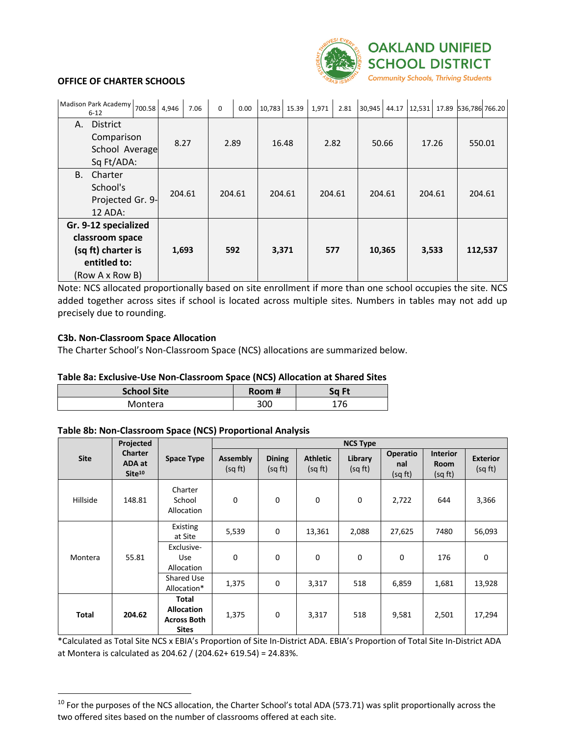

| Madison Park Academy 700.58 4,946<br>$6 - 12$                                                    |                          |                  |        | 7.06  | $\mathbf 0$   | 0.00 | 10,783 15.39 |  | 1,971  | 2.81 | 30,945 | 44.17 | 12,531 | 17.89 | 536,786 766.20 |  |
|--------------------------------------------------------------------------------------------------|--------------------------|------------------|--------|-------|---------------|------|--------------|--|--------|------|--------|-------|--------|-------|----------------|--|
| <b>District</b><br>А.                                                                            | Comparison<br>Sq Ft/ADA: | School Average   | 8.27   |       | 2.89<br>16.48 |      | 2.82         |  | 50.66  |      | 17.26  |       | 550.01 |       |                |  |
| <b>B.</b><br>Charter<br>School's<br>12 ADA:                                                      |                          | Projected Gr. 9- | 204.61 |       | 204.61        |      | 204.61       |  | 204.61 |      | 204.61 |       | 204.61 |       | 204.61         |  |
| Gr. 9-12 specialized<br>classroom space<br>(sq ft) charter is<br>entitled to:<br>(Row A x Row B) |                          |                  |        | 1,693 |               | 592  | 3,371        |  | 577    |      | 10,365 |       | 3,533  |       | 112,537        |  |

Note: NCS allocated proportionally based on site enrollment if more than one school occupies the site. NCS added together across sites if school is located across multiple sites. Numbers in tables may not add up precisely due to rounding.

#### **C3b. Non-Classroom Space Allocation**

The Charter School's Non-Classroom Space (NCS) allocations are summarized below.

#### **Table 8a: Exclusive-Use Non-Classroom Space (NCS) Allocation at Shared Sites**

| <b>School Site</b> |        |       |
|--------------------|--------|-------|
|                    | Room # | Sq Ft |
| Montera            | 300    | 176   |

#### **Table 8b: Non-Classroom Space (NCS) Proportional Analysis**

|              | Projected                                      |                                                                  | <b>NCS Type</b>            |                          |                            |                    |                                   |                                           |                            |        |  |
|--------------|------------------------------------------------|------------------------------------------------------------------|----------------------------|--------------------------|----------------------------|--------------------|-----------------------------------|-------------------------------------------|----------------------------|--------|--|
| <b>Site</b>  | <b>Charter</b><br>ADA at<br>Site <sup>10</sup> | <b>Space Type</b>                                                | <b>Assembly</b><br>(sq ft) | <b>Dining</b><br>(sq ft) | <b>Athletic</b><br>(sq ft) | Library<br>(sq ft) | <b>Operatio</b><br>nal<br>(sq ft) | <b>Interior</b><br><b>Room</b><br>(sq ft) | <b>Exterior</b><br>(sq ft) |        |  |
| Hillside     | 148.81                                         | Charter<br>School<br>Allocation                                  | 0                          | 0                        | 0                          | 0                  | 2,722                             | 644                                       | 3,366                      |        |  |
| Montera      | 55.81                                          |                                                                  | Existing<br>at Site        | 5,539                    | $\mathbf 0$                | 13,361             | 2,088                             | 27,625                                    | 7480                       | 56,093 |  |
|              |                                                | Exclusive-<br>Use<br>Allocation                                  | 0                          | 0                        | 0                          | 0                  | 0                                 | 176                                       | 0                          |        |  |
|              |                                                | Shared Use<br>Allocation*                                        | 1,375                      | 0                        | 3,317                      | 518                | 6,859                             | 1,681                                     | 13,928                     |        |  |
| <b>Total</b> | 204.62                                         | Total<br><b>Allocation</b><br><b>Across Both</b><br><b>Sites</b> | 1,375                      | 0                        | 3,317                      | 518                | 9,581                             | 2,501                                     | 17,294                     |        |  |

\*Calculated as Total Site NCS x EBIA's Proportion of Site In-District ADA. EBIA's Proportion of Total Site In-District ADA at Montera is calculated as 204.62 / (204.62+ 619.54) = 24.83%.

 $10$  For the purposes of the NCS allocation, the Charter School's total ADA (573.71) was split proportionally across the two offered sites based on the number of classrooms offered at each site.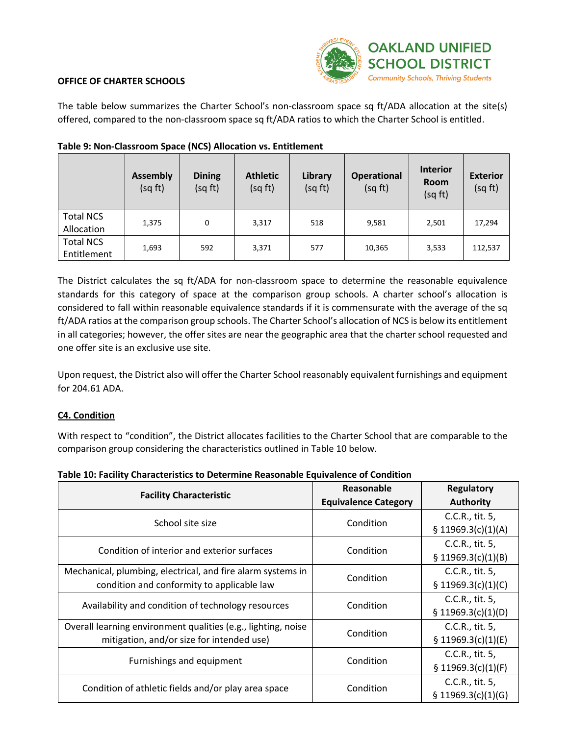

The table below summarizes the Charter School's non-classroom space sq ft/ADA allocation at the site(s) offered, compared to the non-classroom space sq ft/ADA ratios to which the Charter School is entitled.

|                                 | <b>Assembly</b><br>(sq ft) | <b>Dining</b><br>(sq ft) | <b>Athletic</b><br>(sq ft) | Library<br>(sq ft) | <b>Operational</b><br>(sq ft) | <b>Interior</b><br><b>Room</b><br>(sq ft) | <b>Exterior</b><br>(sq ft) |
|---------------------------------|----------------------------|--------------------------|----------------------------|--------------------|-------------------------------|-------------------------------------------|----------------------------|
| <b>Total NCS</b><br>Allocation  | 1,375                      | 0                        | 3,317                      | 518                | 9,581                         | 2,501                                     | 17,294                     |
| <b>Total NCS</b><br>Entitlement | 1,693                      | 592                      | 3,371                      | 577                | 10,365                        | 3,533                                     | 112,537                    |

#### **Table 9: Non-Classroom Space (NCS) Allocation vs. Entitlement**

The District calculates the sq ft/ADA for non-classroom space to determine the reasonable equivalence standards for this category of space at the comparison group schools. A charter school's allocation is considered to fall within reasonable equivalence standards if it is commensurate with the average of the sq ft/ADA ratios at the comparison group schools. The Charter School's allocation of NCS is below its entitlement in all categories; however, the offer sites are near the geographic area that the charter school requested and one offer site is an exclusive use site.

Upon request, the District also will offer the Charter School reasonably equivalent furnishings and equipment for 204.61 ADA.

#### **C4. Condition**

With respect to "condition", the District allocates facilities to the Charter School that are comparable to the comparison group considering the characteristics outlined in Table 10 below.

|  |  | Table 10: Facility Characteristics to Determine Reasonable Equivalence of Condition |  |  |
|--|--|-------------------------------------------------------------------------------------|--|--|
|--|--|-------------------------------------------------------------------------------------|--|--|

| <b>Facility Characteristic</b>                                | Reasonable                  | Regulatory         |
|---------------------------------------------------------------|-----------------------------|--------------------|
|                                                               | <b>Equivalence Category</b> | <b>Authority</b>   |
| School site size                                              | Condition                   | C.C.R., tit. 5,    |
|                                                               |                             | \$11969.3(c)(1)(A) |
| Condition of interior and exterior surfaces                   | Condition                   | C.C.R., tit. 5,    |
|                                                               |                             | § 11969.3(c)(1)(B) |
| Mechanical, plumbing, electrical, and fire alarm systems in   | Condition                   | C.C.R., tit. 5,    |
| condition and conformity to applicable law                    |                             | \$11969.3(c)(1)(C) |
|                                                               | Condition                   | C.C.R., tit. 5,    |
| Availability and condition of technology resources            |                             | \$11969.3(c)(1)(D) |
| Overall learning environment qualities (e.g., lighting, noise | Condition                   | C.C.R., tit. 5,    |
| mitigation, and/or size for intended use)                     |                             | \$11969.3(c)(1)(E) |
| Furnishings and equipment                                     |                             | C.C.R., tit. 5,    |
|                                                               | Condition                   | \$11969.3(c)(1)(F) |
| Condition of athletic fields and/or play area space           | Condition                   | C.C.R., tit. 5,    |
|                                                               |                             | \$11969.3(c)(1)(G) |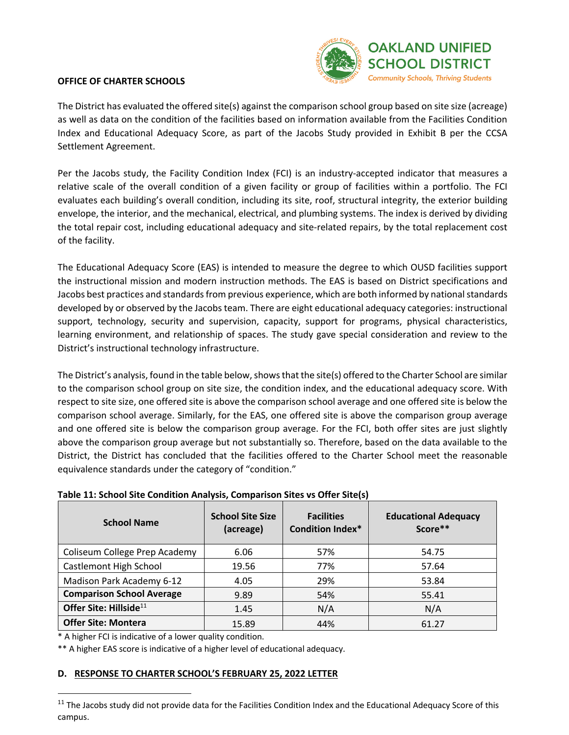

The District has evaluated the offered site(s) against the comparison school group based on site size (acreage) as well as data on the condition of the facilities based on information available from the Facilities Condition Index and Educational Adequacy Score, as part of the Jacobs Study provided in Exhibit B per the CCSA Settlement Agreement.

Per the Jacobs study, the Facility Condition Index (FCI) is an industry-accepted indicator that measures a relative scale of the overall condition of a given facility or group of facilities within a portfolio. The FCI evaluates each building's overall condition, including its site, roof, structural integrity, the exterior building envelope, the interior, and the mechanical, electrical, and plumbing systems. The index is derived by dividing the total repair cost, including educational adequacy and site-related repairs, by the total replacement cost of the facility.

The Educational Adequacy Score (EAS) is intended to measure the degree to which OUSD facilities support the instructional mission and modern instruction methods. The EAS is based on District specifications and Jacobs best practices and standards from previous experience, which are both informed by national standards developed by or observed by the Jacobs team. There are eight educational adequacy categories: instructional support, technology, security and supervision, capacity, support for programs, physical characteristics, learning environment, and relationship of spaces. The study gave special consideration and review to the District's instructional technology infrastructure.

The District's analysis, found in the table below, shows that the site(s) offered to the Charter School are similar to the comparison school group on site size, the condition index, and the educational adequacy score. With respect to site size, one offered site is above the comparison school average and one offered site is below the comparison school average. Similarly, for the EAS, one offered site is above the comparison group average and one offered site is below the comparison group average. For the FCI, both offer sites are just slightly above the comparison group average but not substantially so. Therefore, based on the data available to the District, the District has concluded that the facilities offered to the Charter School meet the reasonable equivalence standards under the category of "condition."

| <b>School Name</b>                 | <b>School Site Size</b><br>(acreage) | <b>Facilities</b><br><b>Condition Index*</b> | <b>Educational Adequacy</b><br>Score** |
|------------------------------------|--------------------------------------|----------------------------------------------|----------------------------------------|
| Coliseum College Prep Academy      | 6.06                                 | 57%                                          | 54.75                                  |
| <b>Castlemont High School</b>      | 19.56                                | 77%                                          | 57.64                                  |
| Madison Park Academy 6-12          | 4.05                                 | 29%                                          | 53.84                                  |
| <b>Comparison School Average</b>   | 9.89                                 | 54%                                          | 55.41                                  |
| Offer Site: Hillside <sup>11</sup> | 1.45                                 | N/A                                          | N/A                                    |
| <b>Offer Site: Montera</b>         | 15.89                                | 44%                                          | 61.27                                  |

#### **Table 11: School Site Condition Analysis, Comparison Sites vs Offer Site(s)**

\* A higher FCI is indicative of a lower quality condition.

\*\* A higher EAS score is indicative of a higher level of educational adequacy.

#### **D. RESPONSE TO CHARTER SCHOOL'S FEBRUARY 25, 2022 LETTER**

 $11$  The Jacobs study did not provide data for the Facilities Condition Index and the Educational Adequacy Score of this campus.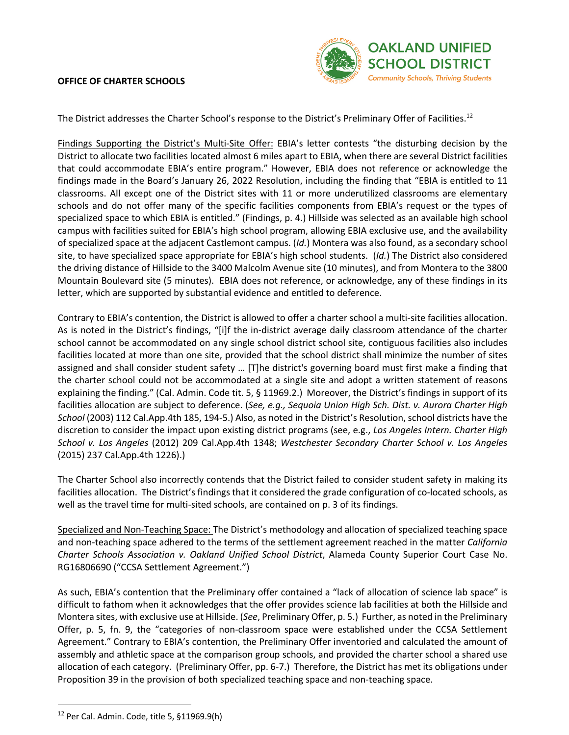

The District addresses the Charter School's response to the District's Preliminary Offer of Facilities.<sup>12</sup>

Findings Supporting the District's Multi-Site Offer: EBIA's letter contests "the disturbing decision by the District to allocate two facilities located almost 6 miles apart to EBIA, when there are several District facilities that could accommodate EBIA's entire program." However, EBIA does not reference or acknowledge the findings made in the Board's January 26, 2022 Resolution, including the finding that "EBIA is entitled to 11 classrooms. All except one of the District sites with 11 or more underutilized classrooms are elementary schools and do not offer many of the specific facilities components from EBIA's request or the types of specialized space to which EBIA is entitled." (Findings, p. 4.) Hillside was selected as an available high school campus with facilities suited for EBIA's high school program, allowing EBIA exclusive use, and the availability of specialized space at the adjacent Castlemont campus. (*Id.*) Montera was also found, as a secondary school site, to have specialized space appropriate for EBIA's high school students. (*Id.*) The District also considered the driving distance of Hillside to the 3400 Malcolm Avenue site (10 minutes), and from Montera to the 3800 Mountain Boulevard site (5 minutes). EBIA does not reference, or acknowledge, any of these findings in its letter, which are supported by substantial evidence and entitled to deference.

Contrary to EBIA's contention, the District is allowed to offer a charter school a multi-site facilities allocation. As is noted in the District's findings, "[i]f the in-district average daily classroom attendance of the charter school cannot be accommodated on any single school district school site, contiguous facilities also includes facilities located at more than one site, provided that the school district shall minimize the number of sites assigned and shall consider student safety … [T]he district's governing board must first make a finding that the charter school could not be accommodated at a single site and adopt a written statement of reasons explaining the finding." (Cal. Admin. Code tit. 5, § 11969.2.) Moreover, the District's findings in support of its facilities allocation are subject to deference. (*See, e.g., Sequoia Union High Sch. Dist. v. Aurora Charter High School* (2003) 112 Cal.App.4th 185, 194-5.) Also, as noted in the District's Resolution, school districts have the discretion to consider the impact upon existing district programs (see, e.g., *Los Angeles Intern. Charter High School v. Los Angeles* (2012) 209 Cal.App.4th 1348; *Westchester Secondary Charter School v. Los Angeles* (2015) 237 Cal.App.4th 1226).)

The Charter School also incorrectly contends that the District failed to consider student safety in making its facilities allocation. The District's findings that it considered the grade configuration of co-located schools, as well as the travel time for multi-sited schools, are contained on p. 3 of its findings.

Specialized and Non-Teaching Space: The District's methodology and allocation of specialized teaching space and non-teaching space adhered to the terms of the settlement agreement reached in the matter *California Charter Schools Association v. Oakland Unified School District*, Alameda County Superior Court Case No. RG16806690 ("CCSA Settlement Agreement.")

As such, EBIA's contention that the Preliminary offer contained a "lack of allocation of science lab space" is difficult to fathom when it acknowledges that the offer provides science lab facilities at both the Hillside and Montera sites, with exclusive use at Hillside. (*See*, Preliminary Offer, p. 5.) Further, as noted in the Preliminary Offer, p. 5, fn. 9, the "categories of non-classroom space were established under the CCSA Settlement Agreement." Contrary to EBIA's contention, the Preliminary Offer inventoried and calculated the amount of assembly and athletic space at the comparison group schools, and provided the charter school a shared use allocation of each category. (Preliminary Offer, pp. 6-7.) Therefore, the District has met its obligations under Proposition 39 in the provision of both specialized teaching space and non-teaching space.

<sup>12</sup> Per Cal. Admin. Code, title 5, §11969.9(h)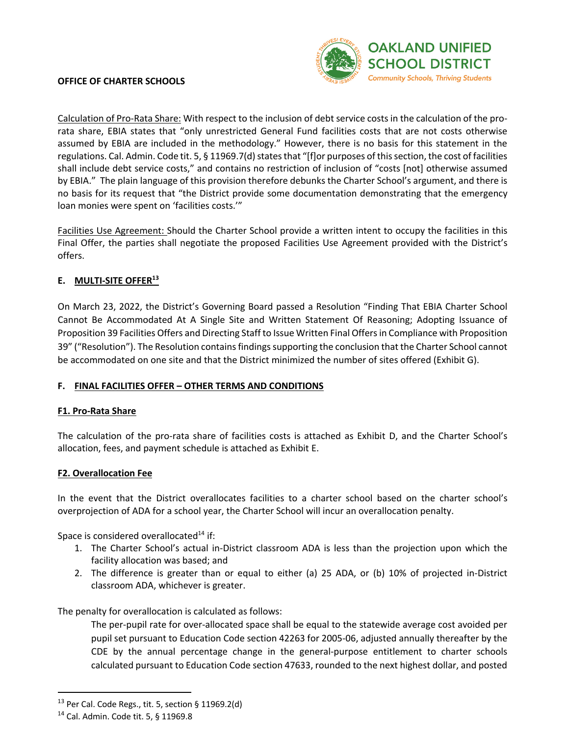

Calculation of Pro-Rata Share: With respect to the inclusion of debt service costs in the calculation of the prorata share, EBIA states that "only unrestricted General Fund facilities costs that are not costs otherwise assumed by EBIA are included in the methodology." However, there is no basis for this statement in the regulations. Cal. Admin. Code tit. 5, § 11969.7(d) states that "[f]or purposes of this section, the cost of facilities shall include debt service costs," and contains no restriction of inclusion of "costs [not] otherwise assumed by EBIA." The plain language of this provision therefore debunks the Charter School's argument, and there is no basis for its request that "the District provide some documentation demonstrating that the emergency loan monies were spent on 'facilities costs.'"

Facilities Use Agreement: Should the Charter School provide a written intent to occupy the facilities in this Final Offer, the parties shall negotiate the proposed Facilities Use Agreement provided with the District's offers.

#### **E. MULTI-SITE OFFER13**

On March 23, 2022, the District's Governing Board passed a Resolution "Finding That EBIA Charter School Cannot Be Accommodated At A Single Site and Written Statement Of Reasoning; Adopting Issuance of Proposition 39 Facilities Offers and Directing Staff to Issue Written Final Offers in Compliance with Proposition 39" ("Resolution"). The Resolution contains findings supporting the conclusion that the Charter School cannot be accommodated on one site and that the District minimized the number of sites offered (Exhibit G).

#### **F. FINAL FACILITIES OFFER – OTHER TERMS AND CONDITIONS**

#### **F1. Pro-Rata Share**

The calculation of the pro-rata share of facilities costs is attached as Exhibit D, and the Charter School's allocation, fees, and payment schedule is attached as Exhibit E.

#### **F2. Overallocation Fee**

In the event that the District overallocates facilities to a charter school based on the charter school's overprojection of ADA for a school year, the Charter School will incur an overallocation penalty.

Space is considered overallocated $14$  if:

- 1. The Charter School's actual in-District classroom ADA is less than the projection upon which the facility allocation was based; and
- 2. The difference is greater than or equal to either (a) 25 ADA, or (b) 10% of projected in-District classroom ADA, whichever is greater.

The penalty for overallocation is calculated as follows:

The per-pupil rate for over-allocated space shall be equal to the statewide average cost avoided per pupil set pursuant to Education Code section 42263 for 2005-06, adjusted annually thereafter by the CDE by the annual percentage change in the general-purpose entitlement to charter schools calculated pursuant to Education Code section 47633, rounded to the next highest dollar, and posted

 $13$  Per Cal. Code Regs., tit. 5, section § 11969.2(d)

<sup>14</sup> Cal. Admin. Code tit. 5, § 11969.8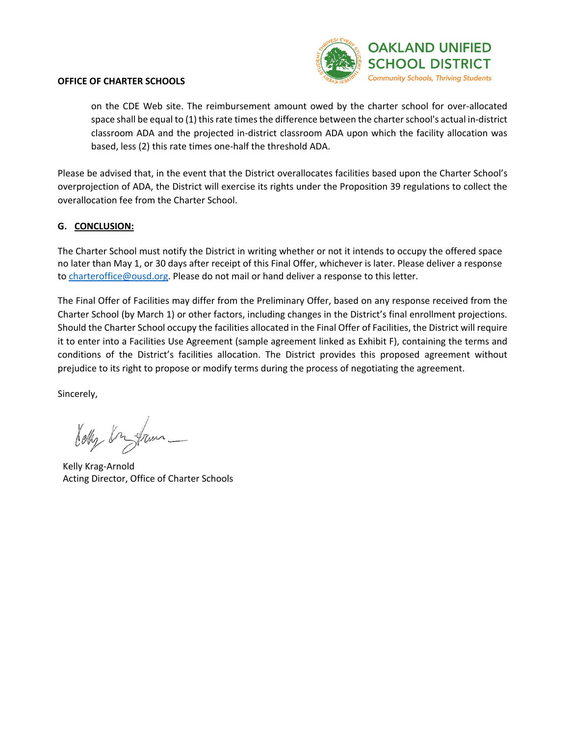

on the CDE Web site. The reimbursement amount owed by the charter school for over-allocated space shall be equal to (1) this rate times the difference between the charter school's actual in-district classroom ADA and the projected in-district classroom ADA upon which the facility allocation was based, less (2) this rate times one-half the threshold ADA.

Please be advised that, in the event that the District overallocates facilities based upon the Charter School's overprojection of ADA, the District will exercise its rights under the Proposition 39 regulations to collect the overallocation fee from the Charter School.

#### **G. CONCLUSION:**

The Charter School must notify the District in writing whether or not it intends to occupy the offered space no later than May 1, or 30 days after receipt of this Final Offer, whichever is later. Please deliver a response to charteroffice@ousd.org. Please do not mail or hand deliver a response to this letter.

The Final Offer of Facilities may differ from the Preliminary Offer, based on any response received from the Charter School (by March 1) or other factors, including changes in the District's final enrollment projections. Should the Charter School occupy the facilities allocated in the Final Offer of Facilities, the District will require it to enter into a Facilities Use Agreement (sample agreement linked as Exhibit F), containing the terms and conditions of the District's facilities allocation. The District provides this proposed agreement without prejudice to its right to propose or modify terms during the process of negotiating the agreement.

Sincerely,

Kelly Kr fram

Kelly Krag-Arnold Acting Director, Office of Charter Schools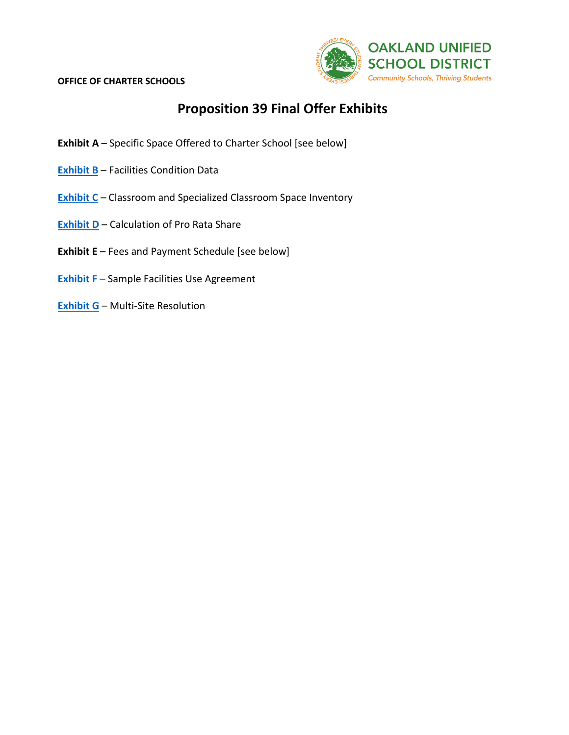

### **Proposition 39 Final Offer Exhibits**

- **Exhibit A**  Specific Space Offered to Charter School [see below]
- **Exhibit B** Facilities Condition Data
- **Exhibit C** Classroom and Specialized Classroom Space Inventory
- **Exhibit D** Calculation of Pro Rata Share
- **Exhibit E** Fees and Payment Schedule [see below]
- **Exhibit F** Sample Facilities Use Agreement
- **Exhibit G** Multi-Site Resolution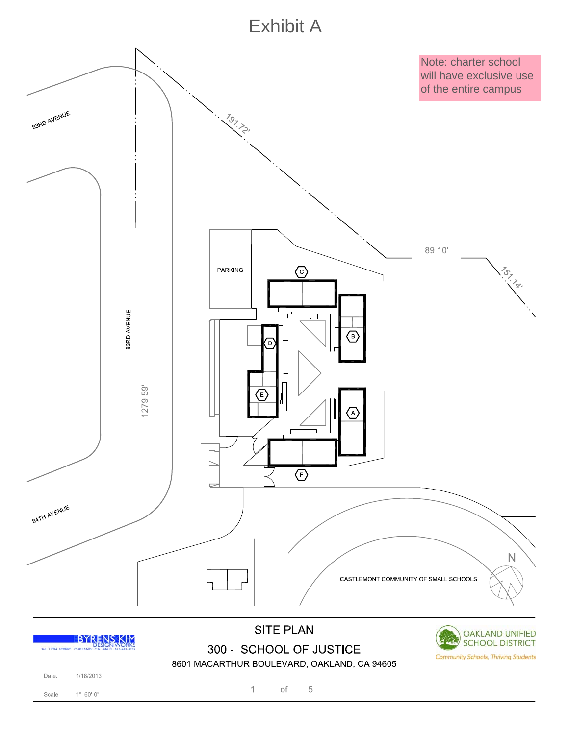# **Exhibit A**

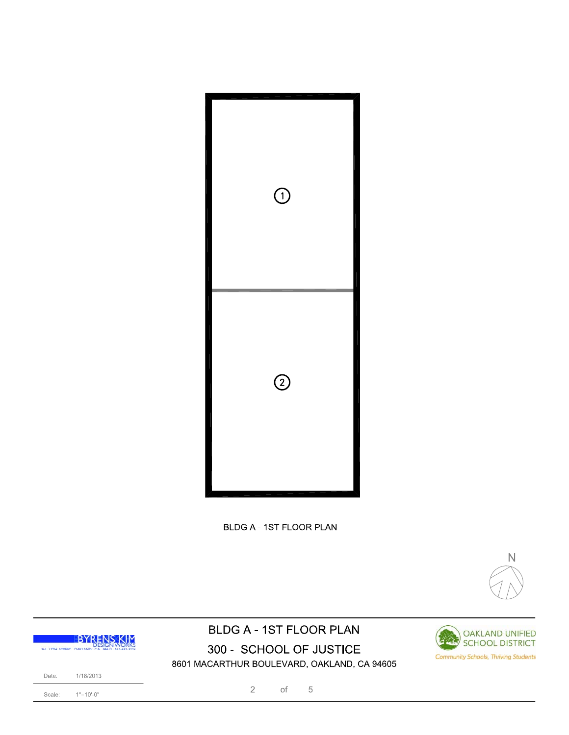

BLDG A - 1ST FLOOR PLAN



### **BLDG A - 1ST FLOOR PLAN** 300 - SCHOOL OF JUSTICE 8601 MACARTHUR BOULEVARD, OAKLAND, CA 94605



 $1" = 10'-0"$ Scale:

 $\sqrt{2}$  $\circ$ f  $\,$  5  $\,$ 

**OAKLAND UNIFIED** SCHOOL DISTRICT

**Community Schools, Thriving Students**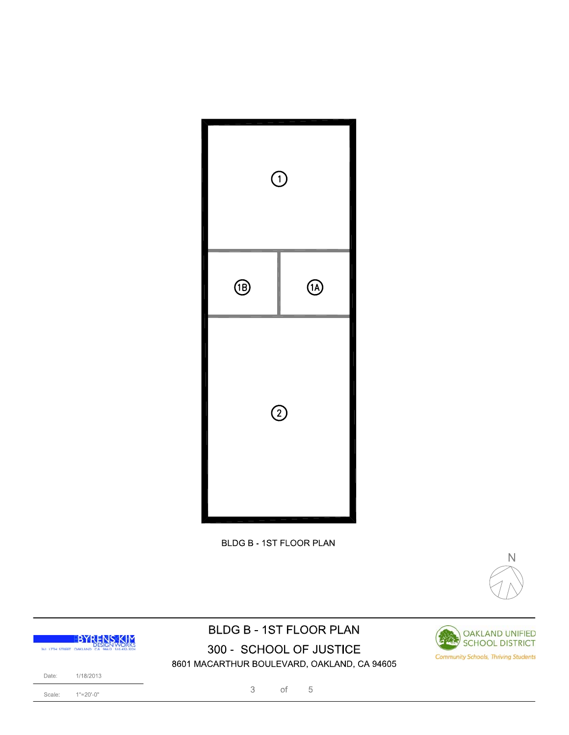

**BLDG B - 1ST FLOOR PLAN** 



### **BLDG B - 1ST FLOOR PLAN** 300 - SCHOOL OF JUSTICE 8601 MACARTHUR BOULEVARD, OAKLAND, CA 94605



Scale:

 $1"=\!\!20'\!\!-\!\!0"$ 

3  $\circ$ f  $\,$  5  $\,$ 

**OAKLAND UNIFIED** 

SCHOOL DISTRICT

**Community Schools, Thriving Students** 

日本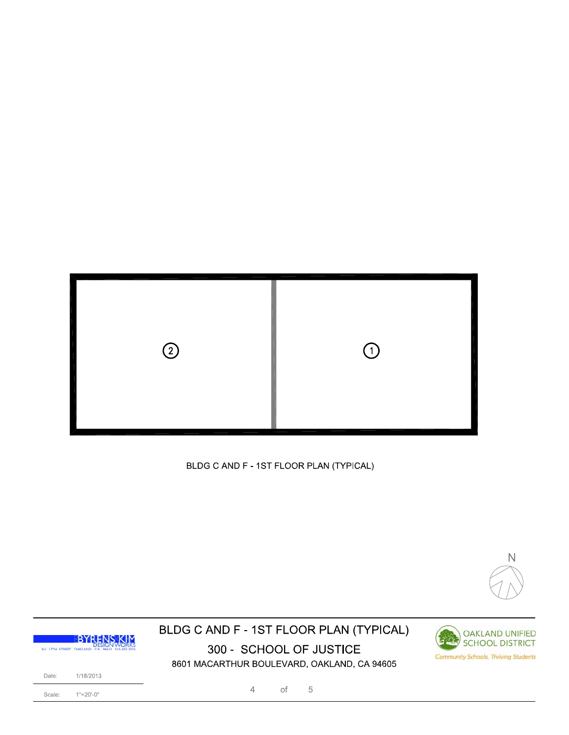

BLDG C AND F - 1ST FLOOR PLAN (TYPICAL)



### BLDG C AND F - 1ST FLOOR PLAN (TYPICAL) 300 - SCHOOL OF JUSTICE 8601 MACARTHUR BOULEVARD, OAKLAND, CA 94605





1/18/2013

 $1"=\!\!20'\!\!-\!\!0"$ Scale:

Date:

 $\sqrt{4}$  $\circ$ f  $\,$  5  $\,$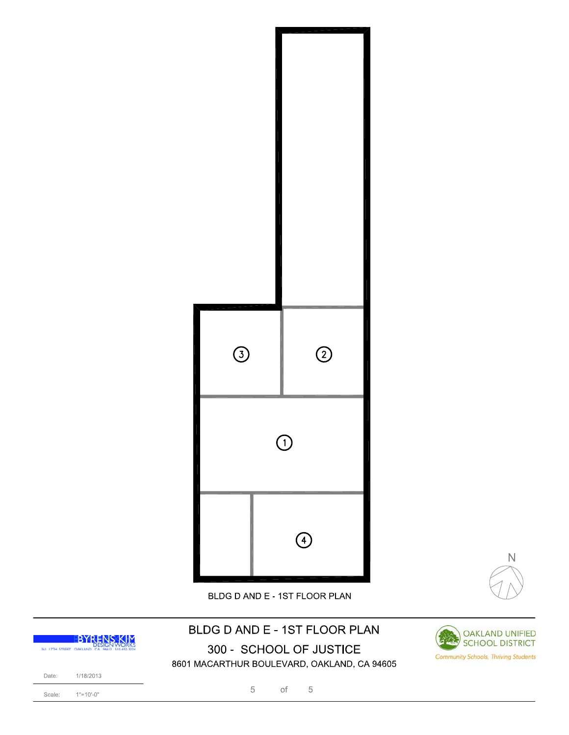



BLDG D AND E - 1ST FLOOR PLAN

## BLDG D AND E - 1ST FLOOR PLAN 300 - SCHOOL OF JUSTICE



8601 MACARTHUR BOULEVARD, OAKLAND, CA 94605



5  $\circ$ f  $\,$  5  $\,$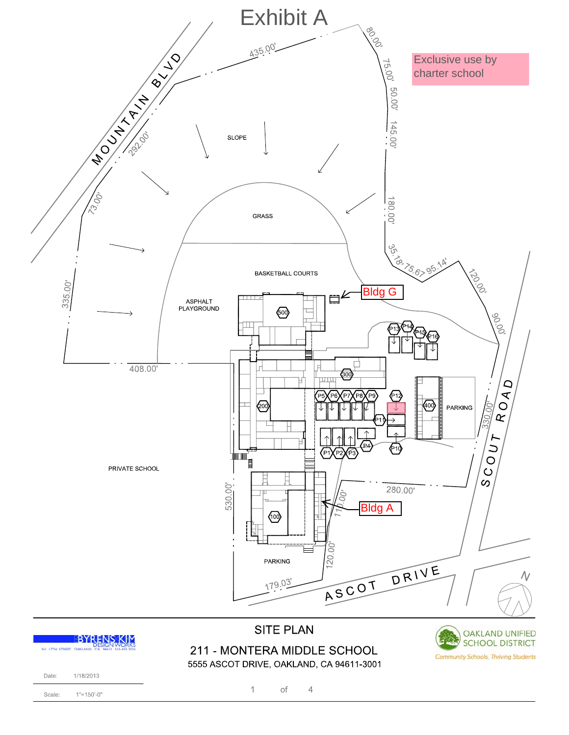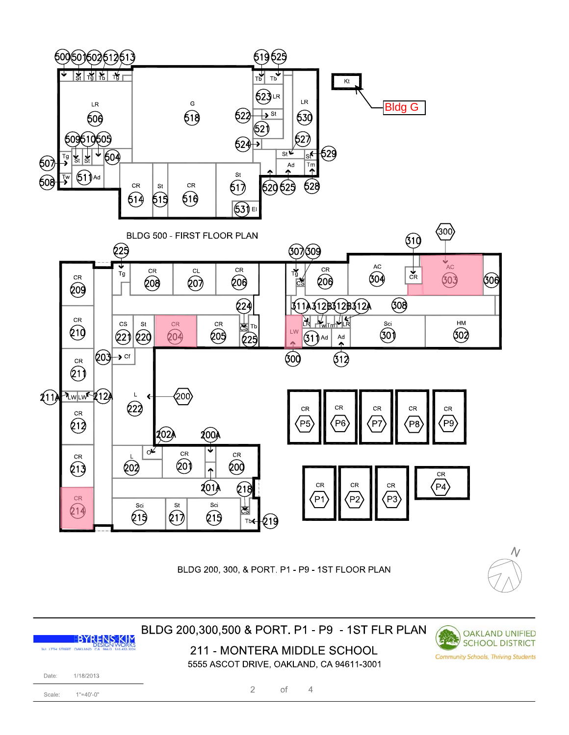

BLDG 200, 300, & PORT. P1 - P9 - 1ST FLOOR PLAN



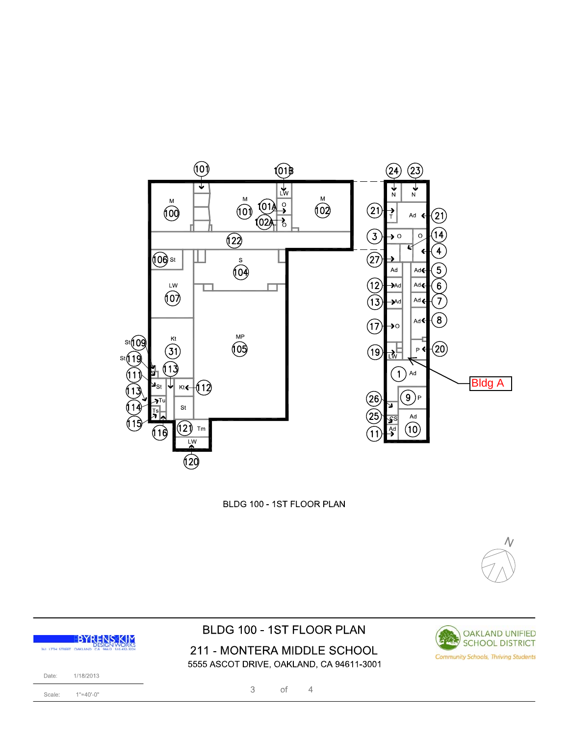

BLDG 100 - 1ST FLOOR PLAN



211 - MONTERA MIDDLE SCHOOL 5555 ASCOT DRIVE, OAKLAND, CA 94611-3001

> $\mathfrak{Z}$  $_{\mathrm{of}}$  $\sqrt{4}$

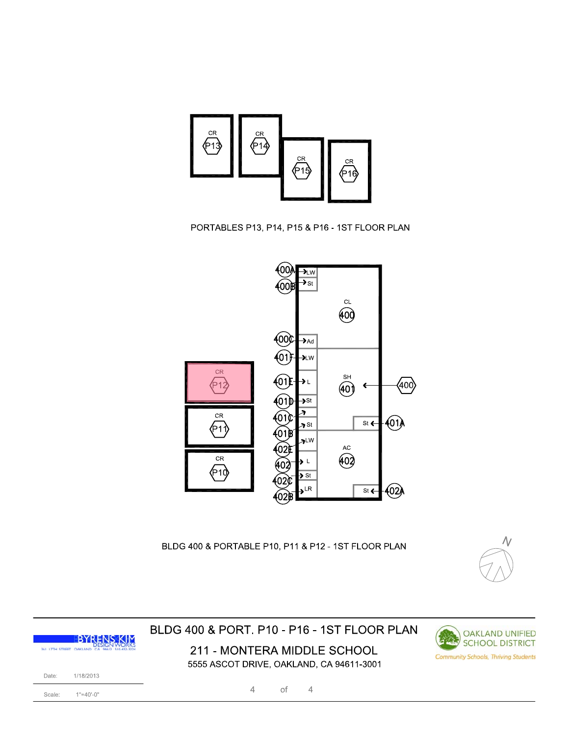

#### PORTABLES P13, P14, P15 & P16 - 1ST FLOOR PLAN



BLDG 400 & PORTABLE P10, P11 & P12 - 1ST FLOOR PLAN



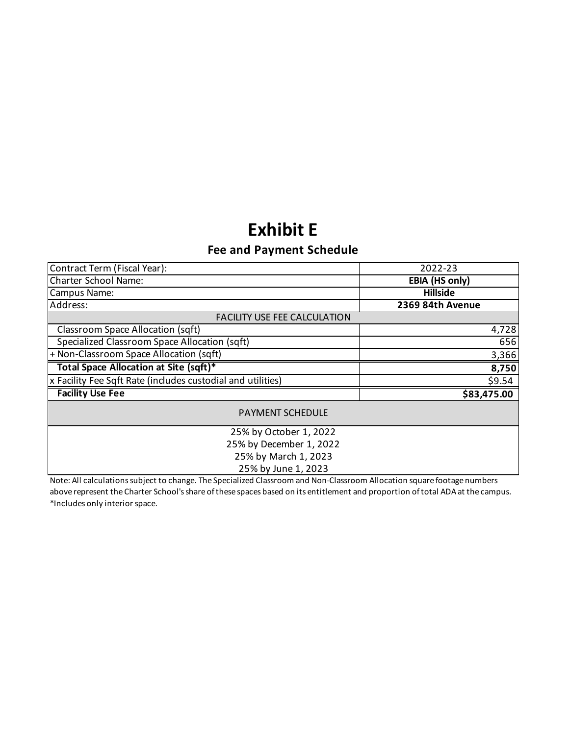# **Exhibit E**

### **Fee and Payment Schedule**

| Contract Term (Fiscal Year):<br>2022-23                     |                       |  |  |  |
|-------------------------------------------------------------|-----------------------|--|--|--|
| Charter School Name:                                        | <b>EBIA (HS only)</b> |  |  |  |
| Campus Name:                                                | <b>Hillside</b>       |  |  |  |
| Address:                                                    | 2369 84th Avenue      |  |  |  |
| <b>FACILITY USE FEE CALCULATION</b>                         |                       |  |  |  |
| Classroom Space Allocation (sqft)                           | 4,728                 |  |  |  |
| Specialized Classroom Space Allocation (sqft)               | 656                   |  |  |  |
| + Non-Classroom Space Allocation (sqft)                     | 3,366                 |  |  |  |
| Total Space Allocation at Site (sqft)*                      | 8,750                 |  |  |  |
| x Facility Fee Sqft Rate (includes custodial and utilities) | \$9.54                |  |  |  |
| <b>Facility Use Fee</b>                                     | \$83,475.00           |  |  |  |
| <b>PAYMENT SCHEDULE</b>                                     |                       |  |  |  |
| 25% by October 1, 2022                                      |                       |  |  |  |
| 25% by December 1, 2022                                     |                       |  |  |  |
| 25% by March 1, 2023                                        |                       |  |  |  |
| 25% by June 1, 2023                                         |                       |  |  |  |

Note: All calculations subject to change. The Specialized Classroom and Non-Classroom Allocation square footage numbers above represent the Charter School's share of these spaces based on its entitlement and proportion of total ADA at the campus. \*Includes only interior space.